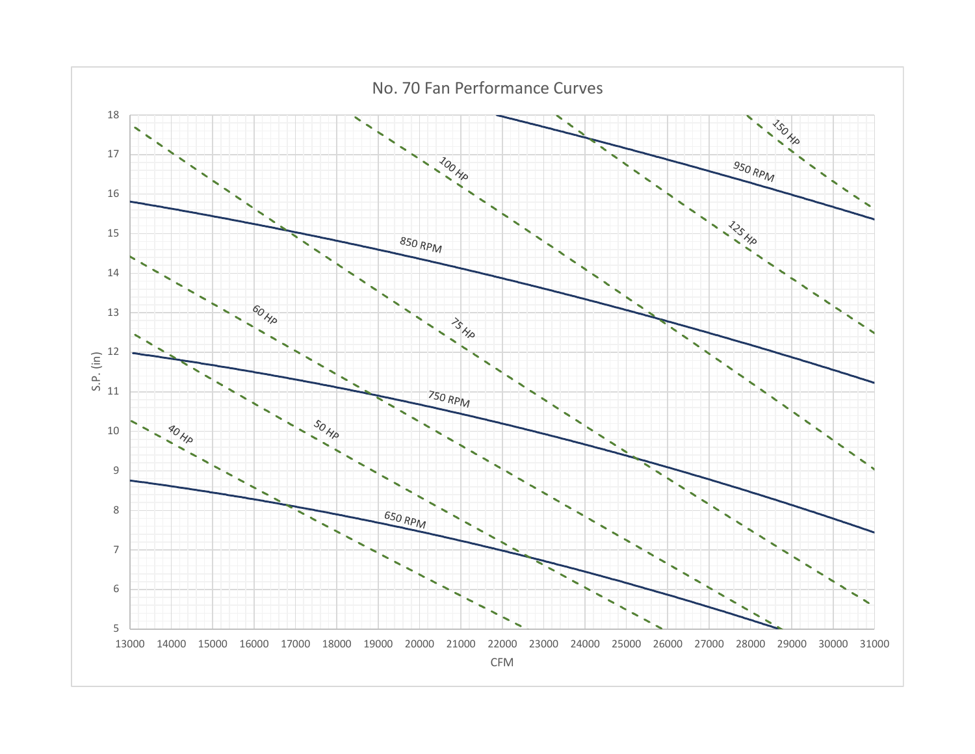